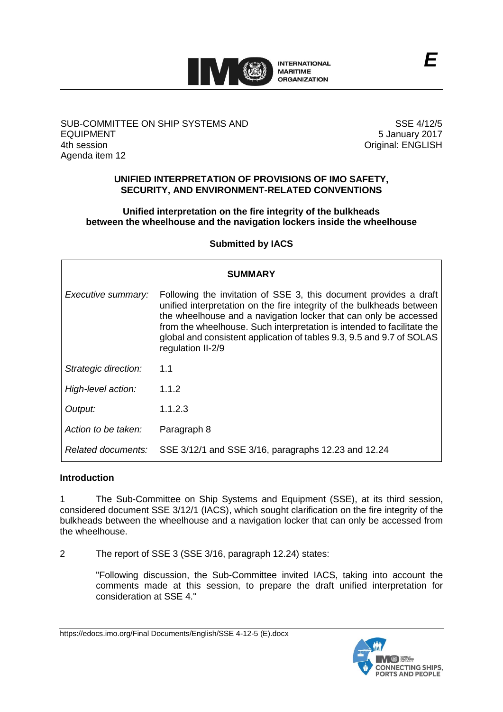

## SUB-COMMITTEE ON SHIP SYSTEMS AND EQUIPMENT 4th session Agenda item 12

SSE 4/12/5 5 January 2017 Original: ENGLISH

## **UNIFIED INTERPRETATION OF PROVISIONS OF IMO SAFETY, SECURITY, AND ENVIRONMENT-RELATED CONVENTIONS**

## **Unified interpretation on the fire integrity of the bulkheads between the wheelhouse and the navigation lockers inside the wheelhouse**

## **Submitted by IACS**

| <b>SUMMARY</b>       |                                                                                                                                                                                                                                                                                                                                                                                        |
|----------------------|----------------------------------------------------------------------------------------------------------------------------------------------------------------------------------------------------------------------------------------------------------------------------------------------------------------------------------------------------------------------------------------|
| Executive summary:   | Following the invitation of SSE 3, this document provides a draft<br>unified interpretation on the fire integrity of the bulkheads between<br>the wheelhouse and a navigation locker that can only be accessed<br>from the wheelhouse. Such interpretation is intended to facilitate the<br>global and consistent application of tables 9.3, 9.5 and 9.7 of SOLAS<br>regulation II-2/9 |
| Strategic direction: | 1.1                                                                                                                                                                                                                                                                                                                                                                                    |
| High-level action:   | 1.1.2                                                                                                                                                                                                                                                                                                                                                                                  |
| Output:              | 1.1.2.3                                                                                                                                                                                                                                                                                                                                                                                |
| Action to be taken:  | Paragraph 8                                                                                                                                                                                                                                                                                                                                                                            |
| Related documents:   | SSE 3/12/1 and SSE 3/16, paragraphs 12.23 and 12.24                                                                                                                                                                                                                                                                                                                                    |

## **Introduction**

1 The Sub-Committee on Ship Systems and Equipment (SSE), at its third session, considered document SSE 3/12/1 (IACS), which sought clarification on the fire integrity of the bulkheads between the wheelhouse and a navigation locker that can only be accessed from the wheelhouse.

2 The report of SSE 3 (SSE 3/16, paragraph 12.24) states:

"Following discussion, the Sub-Committee invited IACS, taking into account the comments made at this session, to prepare the draft unified interpretation for consideration at SSE 4."

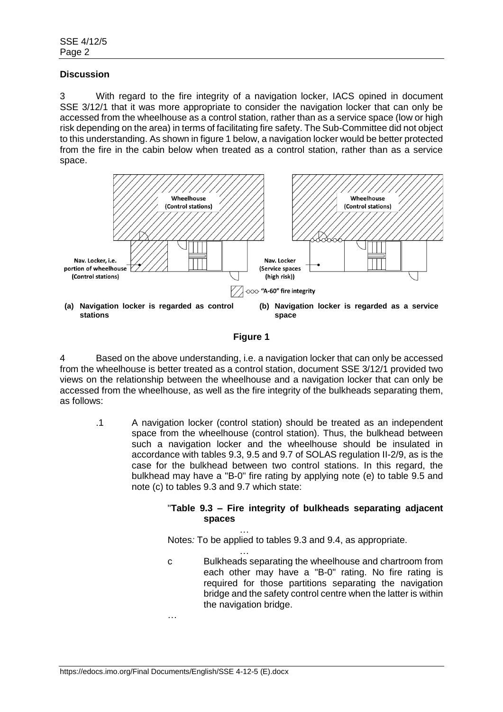### **Discussion**

3 With regard to the fire integrity of a navigation locker, IACS opined in document SSE 3/12/1 that it was more appropriate to consider the navigation locker that can only be accessed from the wheelhouse as a control station, rather than as a service space (low or high risk depending on the area) in terms of facilitating fire safety. The Sub-Committee did not object to this understanding. As shown in figure 1 below, a navigation locker would be better protected from the fire in the cabin below when treated as a control station, rather than as a service space.



### **Figure 1**

4 Based on the above understanding, i.e. a navigation locker that can only be accessed from the wheelhouse is better treated as a control station, document SSE 3/12/1 provided two views on the relationship between the wheelhouse and a navigation locker that can only be accessed from the wheelhouse, as well as the fire integrity of the bulkheads separating them, as follows:

.1 A navigation locker (control station) should be treated as an independent space from the wheelhouse (control station). Thus, the bulkhead between such a navigation locker and the wheelhouse should be insulated in accordance with tables 9.3, 9.5 and 9.7 of SOLAS regulation II-2/9, as is the case for the bulkhead between two control stations. In this regard, the bulkhead may have a "B-0" fire rating by applying note (e) to table 9.5 and note (c) to tables 9.3 and 9.7 which state:

## "**Table 9.3 – Fire integrity of bulkheads separating adjacent spaces**

… Notes*:* To be applied to tables 9.3 and 9.4, as appropriate.

… c Bulkheads separating the wheelhouse and chartroom from each other may have a "B-0" rating. No fire rating is required for those partitions separating the navigation bridge and the safety control centre when the latter is within the navigation bridge.

https://edocs.imo.org/Final Documents/English/SSE 4-12-5 (E).docx

…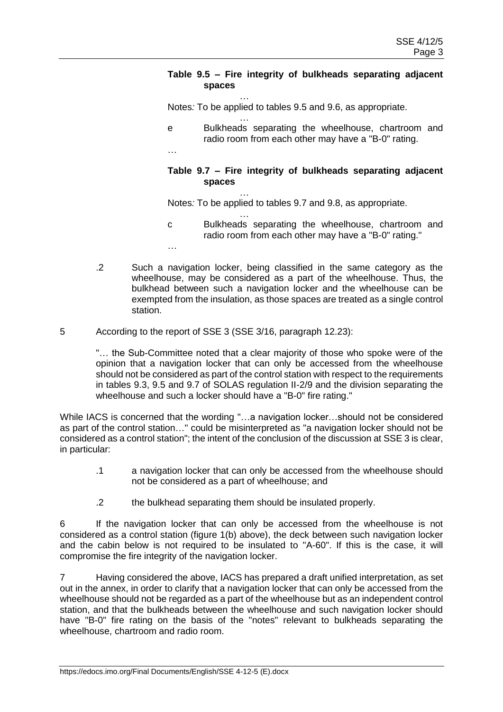## **Table 9.5 – Fire integrity of bulkheads separating adjacent spaces**

… Notes*:* To be applied to tables 9.5 and 9.6, as appropriate.

… e Bulkheads separating the wheelhouse, chartroom and radio room from each other may have a "B-0" rating.

…

…

## **Table 9.7 – Fire integrity of bulkheads separating adjacent spaces**

… Notes*:* To be applied to tables 9.7 and 9.8, as appropriate.

- … c Bulkheads separating the wheelhouse, chartroom and radio room from each other may have a "B-0" rating."
- .2 Such a navigation locker, being classified in the same category as the wheelhouse, may be considered as a part of the wheelhouse. Thus, the bulkhead between such a navigation locker and the wheelhouse can be exempted from the insulation, as those spaces are treated as a single control station.
- 5 According to the report of SSE 3 (SSE 3/16, paragraph 12.23):

"… the Sub-Committee noted that a clear majority of those who spoke were of the opinion that a navigation locker that can only be accessed from the wheelhouse should not be considered as part of the control station with respect to the requirements in tables 9.3, 9.5 and 9.7 of SOLAS regulation II-2/9 and the division separating the wheelhouse and such a locker should have a "B-0" fire rating."

While IACS is concerned that the wording "…a navigation locker…should not be considered as part of the control station…" could be misinterpreted as "a navigation locker should not be considered as a control station"; the intent of the conclusion of the discussion at SSE 3 is clear, in particular:

- .1 a navigation locker that can only be accessed from the wheelhouse should not be considered as a part of wheelhouse; and
- .2 the bulkhead separating them should be insulated properly.

6 If the navigation locker that can only be accessed from the wheelhouse is not considered as a control station (figure 1(b) above), the deck between such navigation locker and the cabin below is not required to be insulated to "A-60". If this is the case, it will compromise the fire integrity of the navigation locker.

7 Having considered the above, IACS has prepared a draft unified interpretation, as set out in the annex, in order to clarify that a navigation locker that can only be accessed from the wheelhouse should not be regarded as a part of the wheelhouse but as an independent control station, and that the bulkheads between the wheelhouse and such navigation locker should have "B-0" fire rating on the basis of the "notes" relevant to bulkheads separating the wheelhouse, chartroom and radio room.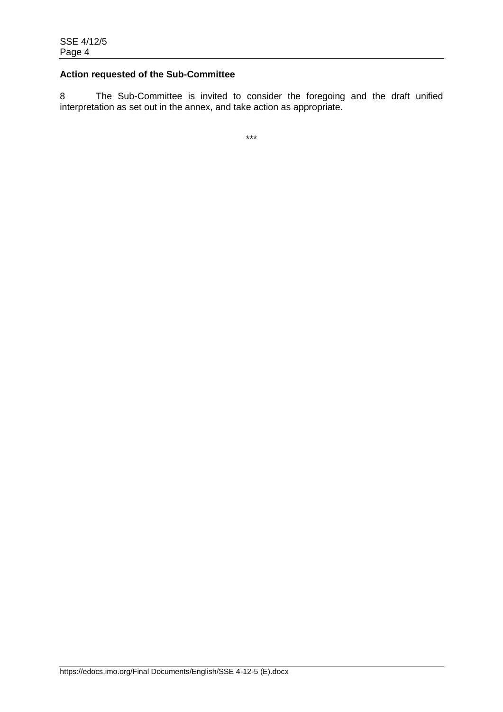# **Action requested of the Sub-Committee**

8 The Sub-Committee is invited to consider the foregoing and the draft unified interpretation as set out in the annex, and take action as appropriate.

\*\*\*